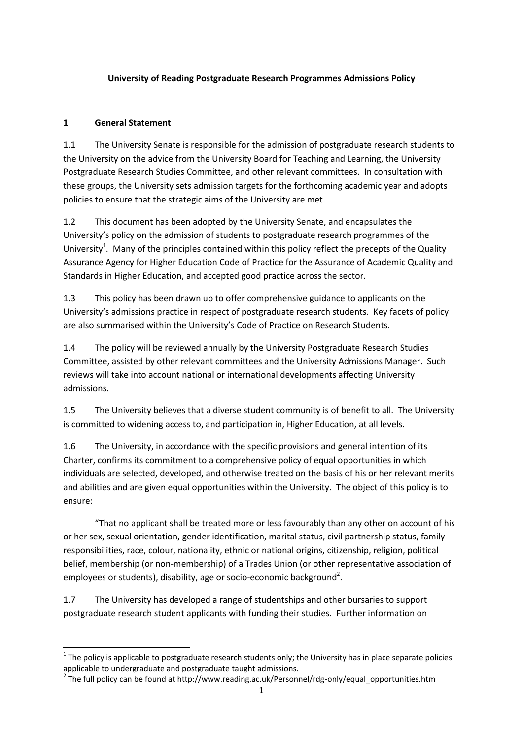#### **University of Reading Postgraduate Research Programmes Admissions Policy**

#### **1 General Statement**

1.1 The University Senate is responsible for the admission of postgraduate research students to the University on the advice from the University Board for Teaching and Learning, the University Postgraduate Research Studies Committee, and other relevant committees. In consultation with these groups, the University sets admission targets for the forthcoming academic year and adopts policies to ensure that the strategic aims of the University are met.

1.2 This document has been adopted by the University Senate, and encapsulates the University's policy on the admission of students to postgraduate research programmes of the University<sup>1</sup>. Many of the principles contained within this policy reflect the precepts of the Quality Assurance Agency for Higher Education Code of Practice for the Assurance of Academic Quality and Standards in Higher Education, and accepted good practice across the sector.

1.3 This policy has been drawn up to offer comprehensive guidance to applicants on the University's admissions practice in respect of postgraduate research students. Key facets of policy are also summarised within the University's Code of Practice on Research Students.

1.4 The policy will be reviewed annually by the University Postgraduate Research Studies Committee, assisted by other relevant committees and the University Admissions Manager. Such reviews will take into account national or international developments affecting University admissions.

1.5 The University believes that a diverse student community is of benefit to all. The University is committed to widening access to, and participation in, Higher Education, at all levels.

1.6 The University, in accordance with the specific provisions and general intention of its Charter, confirms its commitment to a comprehensive policy of equal opportunities in which individuals are selected, developed, and otherwise treated on the basis of his or her relevant merits and abilities and are given equal opportunities within the University. The object of this policy is to ensure:

"That no applicant shall be treated more or less favourably than any other on account of his or her sex, sexual orientation, gender identification, marital status, civil partnership status, family responsibilities, race, colour, nationality, ethnic or national origins, citizenship, religion, political belief, membership (or non-membership) of a Trades Union (or other representative association of employees or students), disability, age or socio-economic background<sup>2</sup>.

1.7 The University has developed a range of studentships and other bursaries to support postgraduate research student applicants with funding their studies. Further information on

 $1$  The policy is applicable to postgraduate research students only; the University has in place separate policies applicable to undergraduate and postgraduate taught admissions.

 $2$  The full policy can be found at http://www.reading.ac.uk/Personnel/rdg-only/equal\_opportunities.htm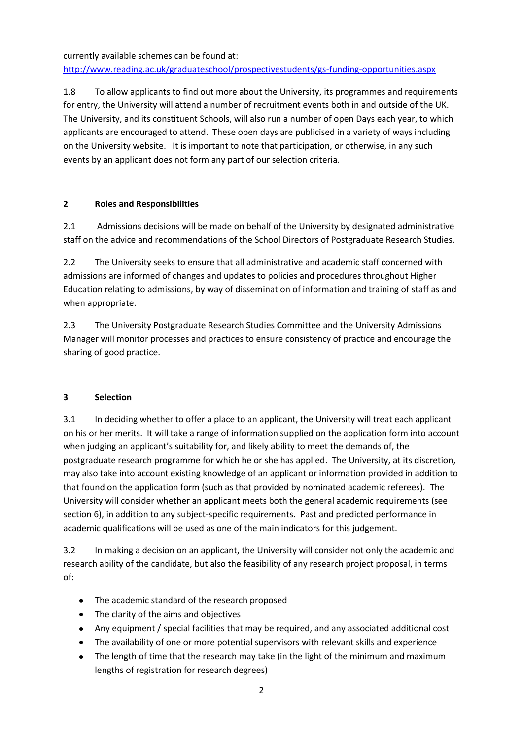currently available schemes can be found at:

<http://www.reading.ac.uk/graduateschool/prospectivestudents/gs-funding-opportunities.aspx>

1.8 To allow applicants to find out more about the University, its programmes and requirements for entry, the University will attend a number of recruitment events both in and outside of the UK. The University, and its constituent Schools, will also run a number of open Days each year, to which applicants are encouraged to attend. These open days are publicised in a variety of ways including on the University website. It is important to note that participation, or otherwise, in any such events by an applicant does not form any part of our selection criteria.

#### **2 Roles and Responsibilities**

2.1 Admissions decisions will be made on behalf of the University by designated administrative staff on the advice and recommendations of the School Directors of Postgraduate Research Studies.

2.2 The University seeks to ensure that all administrative and academic staff concerned with admissions are informed of changes and updates to policies and procedures throughout Higher Education relating to admissions, by way of dissemination of information and training of staff as and when appropriate.

2.3 The University Postgraduate Research Studies Committee and the University Admissions Manager will monitor processes and practices to ensure consistency of practice and encourage the sharing of good practice.

# **3 Selection**

3.1 In deciding whether to offer a place to an applicant, the University will treat each applicant on his or her merits. It will take a range of information supplied on the application form into account when judging an applicant's suitability for, and likely ability to meet the demands of, the postgraduate research programme for which he or she has applied. The University, at its discretion, may also take into account existing knowledge of an applicant or information provided in addition to that found on the application form (such as that provided by nominated academic referees). The University will consider whether an applicant meets both the general academic requirements (see section 6), in addition to any subject-specific requirements. Past and predicted performance in academic qualifications will be used as one of the main indicators for this judgement.

3.2 In making a decision on an applicant, the University will consider not only the academic and research ability of the candidate, but also the feasibility of any research project proposal, in terms of:

- The academic standard of the research proposed
- The clarity of the aims and objectives
- Any equipment / special facilities that may be required, and any associated additional cost
- The availability of one or more potential supervisors with relevant skills and experience
- $\bullet$ The length of time that the research may take (in the light of the minimum and maximum lengths of registration for research degrees)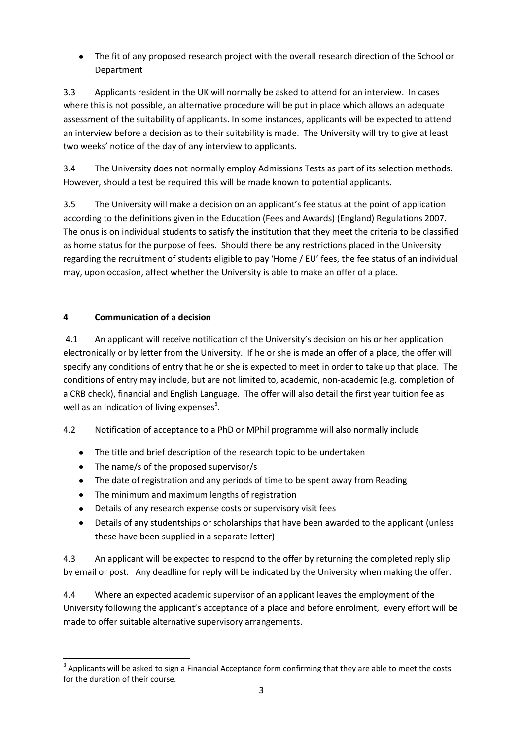The fit of any proposed research project with the overall research direction of the School or Department

3.3 Applicants resident in the UK will normally be asked to attend for an interview. In cases where this is not possible, an alternative procedure will be put in place which allows an adequate assessment of the suitability of applicants. In some instances, applicants will be expected to attend an interview before a decision as to their suitability is made. The University will try to give at least two weeks' notice of the day of any interview to applicants.

3.4 The University does not normally employ Admissions Tests as part of its selection methods. However, should a test be required this will be made known to potential applicants.

3.5 The University will make a decision on an applicant's fee status at the point of application according to the definitions given in the Education (Fees and Awards) (England) Regulations 2007. The onus is on individual students to satisfy the institution that they meet the criteria to be classified as home status for the purpose of fees. Should there be any restrictions placed in the University regarding the recruitment of students eligible to pay 'Home / EU' fees, the fee status of an individual may, upon occasion, affect whether the University is able to make an offer of a place.

# **4 Communication of a decision**

4.1 An applicant will receive notification of the University's decision on his or her application electronically or by letter from the University. If he or she is made an offer of a place, the offer will specify any conditions of entry that he or she is expected to meet in order to take up that place. The conditions of entry may include, but are not limited to, academic, non-academic (e.g. completion of a CRB check), financial and English Language. The offer will also detail the first year tuition fee as well as an indication of living expenses<sup>3</sup>.

# 4.2 Notification of acceptance to a PhD or MPhil programme will also normally include

- The title and brief description of the research topic to be undertaken  $\bullet$
- The name/s of the proposed supervisor/s  $\bullet$
- The date of registration and any periods of time to be spent away from Reading
- The minimum and maximum lengths of registration
- Details of any research expense costs or supervisory visit fees  $\bullet$
- Details of any studentships or scholarships that have been awarded to the applicant (unless  $\bullet$ these have been supplied in a separate letter)

4.3 An applicant will be expected to respond to the offer by returning the completed reply slip by email or post. Any deadline for reply will be indicated by the University when making the offer.

4.4 Where an expected academic supervisor of an applicant leaves the employment of the University following the applicant's acceptance of a place and before enrolment, every effort will be made to offer suitable alternative supervisory arrangements.

<sup>1</sup>  $3$  Applicants will be asked to sign a Financial Acceptance form confirming that they are able to meet the costs for the duration of their course.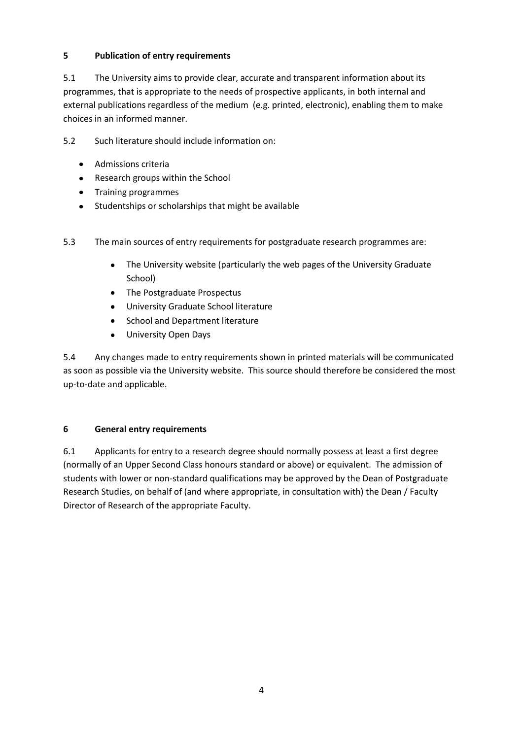### **5 Publication of entry requirements**

5.1 The University aims to provide clear, accurate and transparent information about its programmes, that is appropriate to the needs of prospective applicants, in both internal and external publications regardless of the medium (e.g. printed, electronic), enabling them to make choices in an informed manner.

5.2 Such literature should include information on:

- Admissions criteria
- Research groups within the School
- Training programmes
- Studentships or scholarships that might be available

5.3 The main sources of entry requirements for postgraduate research programmes are:

- The University website (particularly the web pages of the University Graduate  $\bullet$ School)
- The Postgraduate Prospectus
- University Graduate School literature
- School and Department literature  $\bullet$
- $\bullet$ University Open Days

5.4 Any changes made to entry requirements shown in printed materials will be communicated as soon as possible via the University website. This source should therefore be considered the most up-to-date and applicable.

#### **6 General entry requirements**

6.1 Applicants for entry to a research degree should normally possess at least a first degree (normally of an Upper Second Class honours standard or above) or equivalent. The admission of students with lower or non-standard qualifications may be approved by the Dean of Postgraduate Research Studies, on behalf of (and where appropriate, in consultation with) the Dean / Faculty Director of Research of the appropriate Faculty.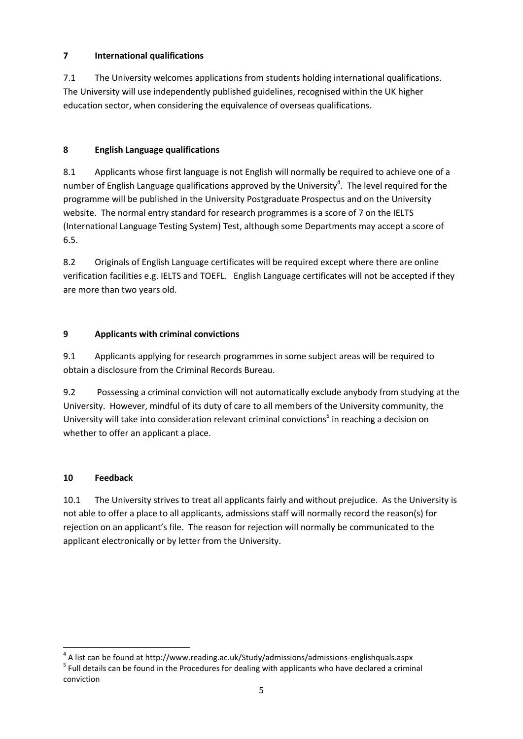# **7 International qualifications**

7.1 The University welcomes applications from students holding international qualifications. The University will use independently published guidelines, recognised within the UK higher education sector, when considering the equivalence of overseas qualifications.

# **8 English Language qualifications**

8.1 Applicants whose first language is not English will normally be required to achieve one of a number of English Language qualifications approved by the University<sup>4</sup>. The level required for the programme will be published in the University Postgraduate Prospectus and on the University website. The normal entry standard for research programmes is a score of 7 on the IELTS (International Language Testing System) Test, although some Departments may accept a score of 6.5.

8.2 Originals of English Language certificates will be required except where there are online verification facilities e.g. IELTS and TOEFL. English Language certificates will not be accepted if they are more than two years old.

# **9 Applicants with criminal convictions**

9.1 Applicants applying for research programmes in some subject areas will be required to obtain a disclosure from the Criminal Records Bureau.

9.2 Possessing a criminal conviction will not automatically exclude anybody from studying at the University. However, mindful of its duty of care to all members of the University community, the University will take into consideration relevant criminal convictions<sup>5</sup> in reaching a decision on whether to offer an applicant a place.

# **10 Feedback**

**.** 

10.1 The University strives to treat all applicants fairly and without prejudice. As the University is not able to offer a place to all applicants, admissions staff will normally record the reason(s) for rejection on an applicant's file. The reason for rejection will normally be communicated to the applicant electronically or by letter from the University.

<sup>4</sup> A list can be found at http://www.reading.ac.uk/Study/admissions/admissions-englishquals.aspx

<sup>&</sup>lt;sup>5</sup> Full details can be found in the Procedures for dealing with applicants who have declared a criminal conviction